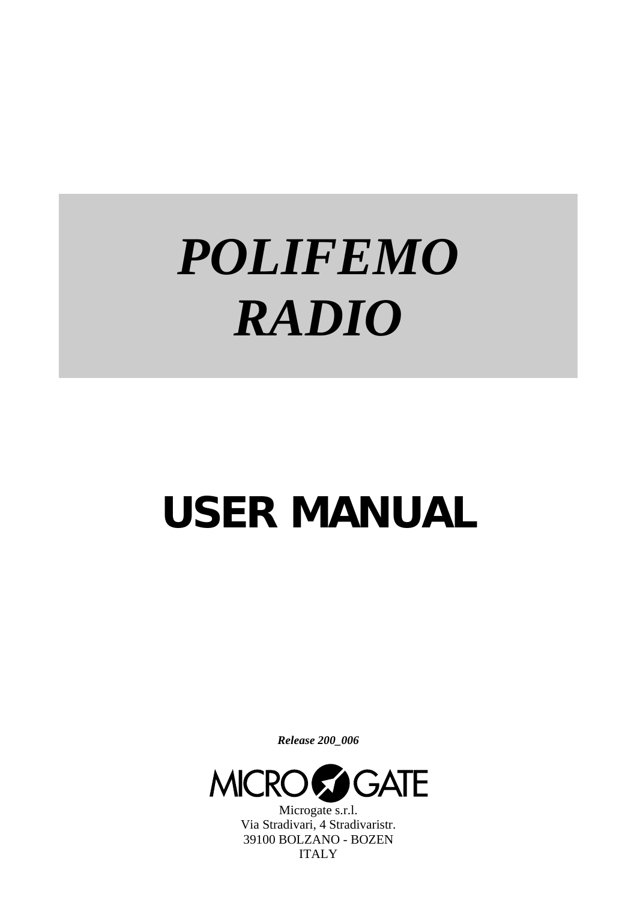# *POLIFEMO RADIO*

## **USER MANUAL**

*Release 200\_006* 



Microgate s.r.l. Via Stradivari, 4 Stradivaristr. 39100 BOLZANO - BOZEN ITALY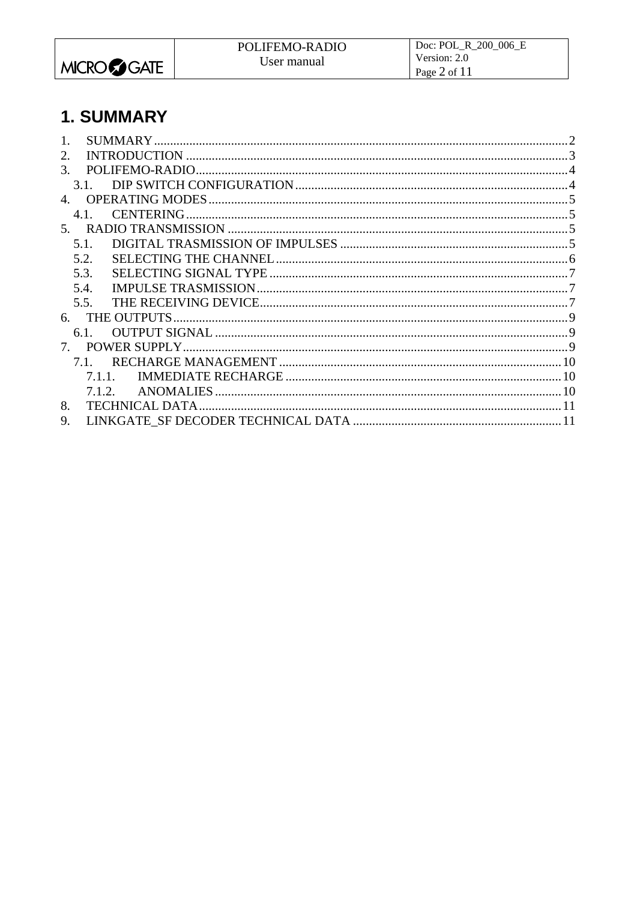<span id="page-1-0"></span>

## 1. SUMMARY

| 2.                               |  |
|----------------------------------|--|
| 3.                               |  |
|                                  |  |
| 4.                               |  |
| 4.1.                             |  |
|                                  |  |
| 5.1.                             |  |
| 5.2.                             |  |
| 5.3.                             |  |
| 5.4.                             |  |
| 5.5.                             |  |
| 6.                               |  |
| 6.1                              |  |
| $7_{\scriptscriptstyle{\ddots}}$ |  |
| 7.1.                             |  |
| 7.1.1                            |  |
| <b>ANOMALIES</b><br>7.1.2.       |  |
| 8.                               |  |
| 9.                               |  |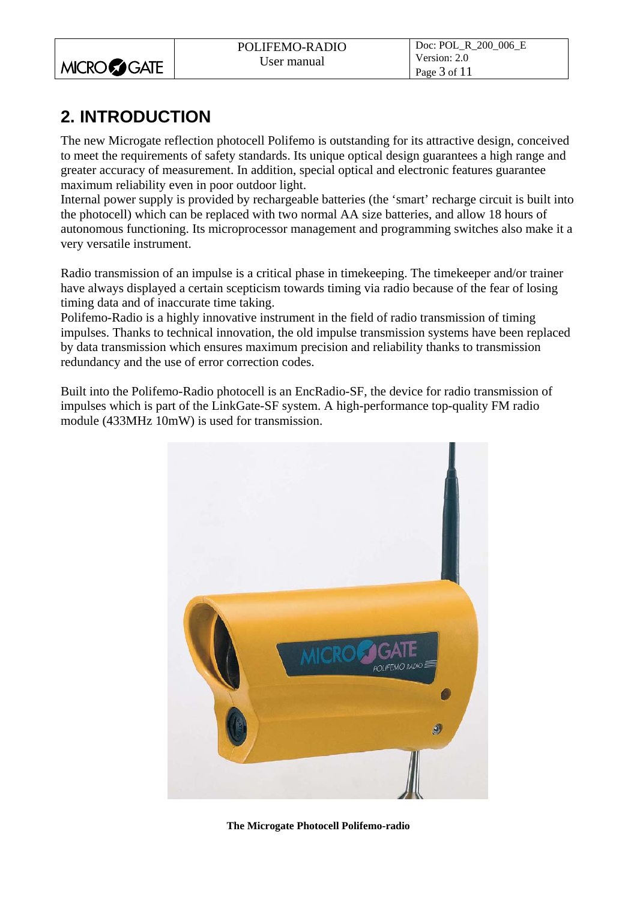<span id="page-2-0"></span>

|                    | POLIFEMO-RADIO | Doc: POL_R_200_006_E         |
|--------------------|----------------|------------------------------|
| <b>MICROCOGATE</b> | User manual    | Version: 2.0<br>Page 3 of 11 |

## **2. INTRODUCTION**

The new Microgate reflection photocell Polifemo is outstanding for its attractive design, conceived to meet the requirements of safety standards. Its unique optical design guarantees a high range and greater accuracy of measurement. In addition, special optical and electronic features guarantee maximum reliability even in poor outdoor light.

Internal power supply is provided by rechargeable batteries (the 'smart' recharge circuit is built into the photocell) which can be replaced with two normal AA size batteries, and allow 18 hours of autonomous functioning. Its microprocessor management and programming switches also make it a very versatile instrument.

Radio transmission of an impulse is a critical phase in timekeeping. The timekeeper and/or trainer have always displayed a certain scepticism towards timing via radio because of the fear of losing timing data and of inaccurate time taking.

Polifemo-Radio is a highly innovative instrument in the field of radio transmission of timing impulses. Thanks to technical innovation, the old impulse transmission systems have been replaced by data transmission which ensures maximum precision and reliability thanks to transmission redundancy and the use of error correction codes.

Built into the Polifemo-Radio photocell is an EncRadio-SF, the device for radio transmission of impulses which is part of the LinkGate-SF system. A high-performance top-quality FM radio module (433MHz 10mW) is used for transmission.



**The Microgate Photocell Polifemo-radio**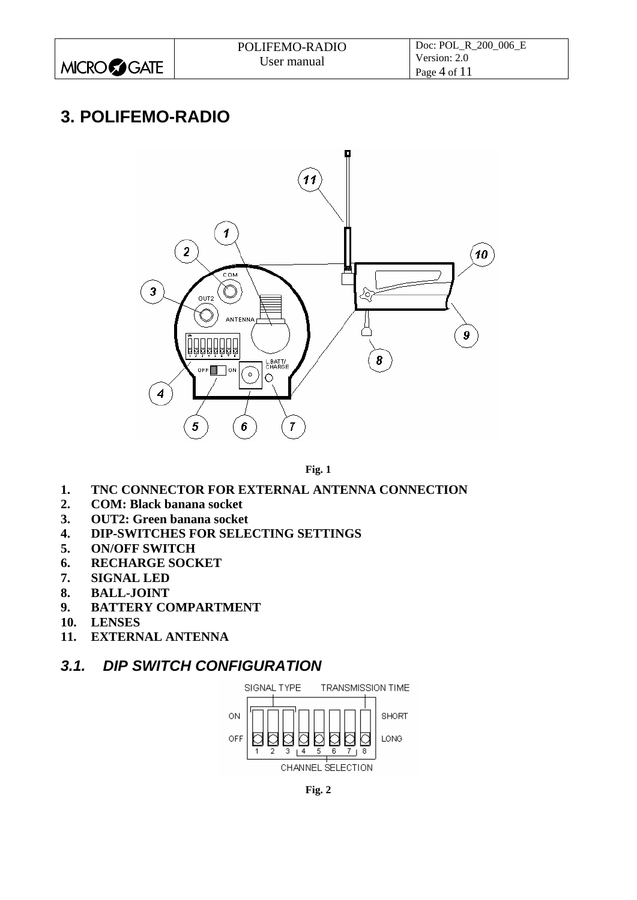<span id="page-3-0"></span>

|                      | POLIFEMO-RADIO | Doc: POL R 200 006 E |
|----------------------|----------------|----------------------|
|                      | User manual    | Version: 2.0         |
| MICRO <b>CO</b> GATE |                | Page 4 of $11$       |

### **3. POLIFEMO-RADIO**



**Fig. 1** 

- <span id="page-3-1"></span>**1. TNC CONNECTOR FOR EXTERNAL ANTENNA CONNECTION**
- **2. COM: Black banana socket**
- **3. OUT2: Green banana socket**
- **4. DIP-SWITCHES FOR SELECTING SETTINGS**
- **5. ON/OFF SWITCH**
- **6. RECHARGE SOCKET**
- **7. SIGNAL LED**
- **8. BALL-JOINT**
- **9. BATTERY COMPARTMENT**
- **10. LENSES**
- **11. EXTERNAL ANTENNA**

#### *3.1. DIP SWITCH CONFIGURATION*



**Fig. 2**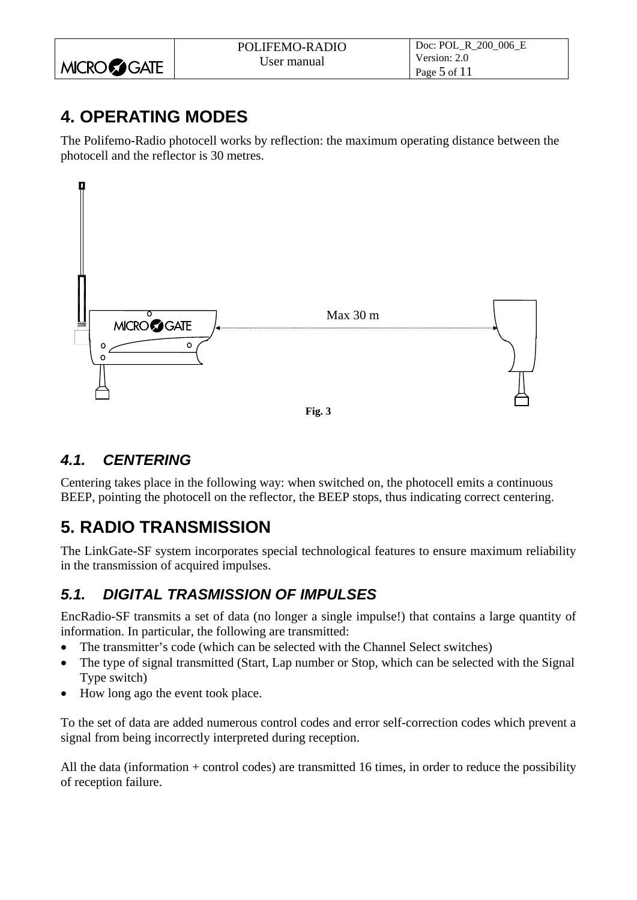<span id="page-4-0"></span>

|                    | POLIFEMO-RADIO | Doc: POL R 200 006 E |
|--------------------|----------------|----------------------|
|                    | User manual    | Version: 2.0         |
| <b>MICROCOGATE</b> |                | Page $5$ of $11$     |

## **4. OPERATING MODES**

The Polifemo-Radio photocell works by reflection: the maximum operating distance between the photocell and the reflector is 30 metres.



#### *4.1. CENTERING*

Centering takes place in the following way: when switched on, the photocell emits a continuous BEEP, pointing the photocell on the reflector, the BEEP stops, thus indicating correct centering.

## **5. RADIO TRANSMISSION**

The LinkGate-SF system incorporates special technological features to ensure maximum reliability in the transmission of acquired impulses.

#### *5.1. DIGITAL TRASMISSION OF IMPULSES*

EncRadio-SF transmits a set of data (no longer a single impulse!) that contains a large quantity of information. In particular, the following are transmitted:

- The transmitter's code (which can be selected with the Channel Select switches)
- The type of signal transmitted (Start, Lap number or Stop, which can be selected with the Signal Type switch)
- How long ago the event took place.

To the set of data are added numerous control codes and error self-correction codes which prevent a signal from being incorrectly interpreted during reception.

All the data (information + control codes) are transmitted 16 times, in order to reduce the possibility of reception failure.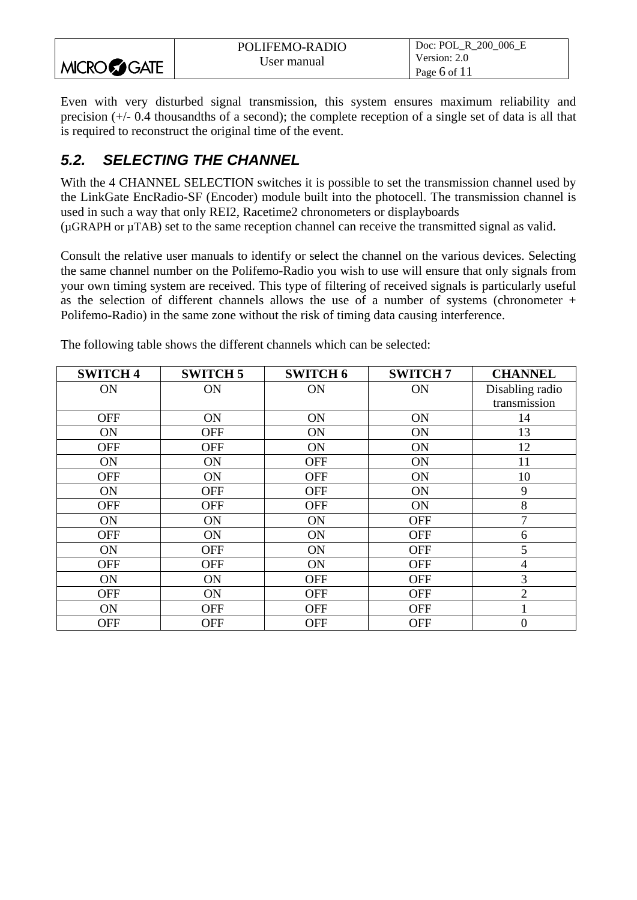<span id="page-5-0"></span>

|                    | POLIFEMO-RADIO | Doc: POL R 200 006 E |
|--------------------|----------------|----------------------|
|                    | User manual    | Version: 2.0         |
| <b>MICROCOGATE</b> |                | Page 6 of $11$       |

Even with very disturbed signal transmission, this system ensures maximum reliability and precision (+/- 0.4 thousandths of a second); the complete reception of a single set of data is all that is required to reconstruct the original time of the event.

#### *5.2. SELECTING THE CHANNEL*

With the 4 CHANNEL SELECTION switches it is possible to set the transmission channel used by the LinkGate EncRadio-SF (Encoder) module built into the photocell. The transmission channel is used in such a way that only REI2, Racetime2 chronometers or displayboards (µGRAPH or µTAB) set to the same reception channel can receive the transmitted signal as valid.

Consult the relative user manuals to identify or select the channel on the various devices. Selecting the same channel number on the Polifemo-Radio you wish to use will ensure that only signals from your own timing system are received. This type of filtering of received signals is particularly useful as the selection of different channels allows the use of a number of systems (chronometer  $+$ Polifemo-Radio) in the same zone without the risk of timing data causing interference.

| <b>SWITCH 4</b> | <b>SWITCH 5</b> | <b>SWITCH6</b> | <b>SWITCH7</b> | <b>CHANNEL</b>   |
|-----------------|-----------------|----------------|----------------|------------------|
| ON              | ON              | <b>ON</b>      | <b>ON</b>      | Disabling radio  |
|                 |                 |                |                | transmission     |
| <b>OFF</b>      | ON              | ON             | ON             | 14               |
| ON              | <b>OFF</b>      | ON             | ON             | 13               |
| <b>OFF</b>      | <b>OFF</b>      | ON             | ON             | 12               |
| ON              | ON              | <b>OFF</b>     | ON             | 11               |
| <b>OFF</b>      | ON              | <b>OFF</b>     | ON             | 10               |
| ON              | <b>OFF</b>      | <b>OFF</b>     | ON             | 9                |
| <b>OFF</b>      | <b>OFF</b>      | <b>OFF</b>     | ON             | 8                |
| ON              | ON              | ON             | <b>OFF</b>     | $\mathcal{I}$    |
| <b>OFF</b>      | ON              | ON             | <b>OFF</b>     | 6                |
| <b>ON</b>       | <b>OFF</b>      | ON             | <b>OFF</b>     | 5                |
| <b>OFF</b>      | <b>OFF</b>      | <b>ON</b>      | <b>OFF</b>     | $\overline{4}$   |
| <b>ON</b>       | ON              | <b>OFF</b>     | <b>OFF</b>     | 3                |
| <b>OFF</b>      | ON              | <b>OFF</b>     | <b>OFF</b>     | $\overline{2}$   |
| ON              | <b>OFF</b>      | <b>OFF</b>     | <b>OFF</b>     |                  |
| <b>OFF</b>      | <b>OFF</b>      | <b>OFF</b>     | <b>OFF</b>     | $\boldsymbol{0}$ |

The following table shows the different channels which can be selected: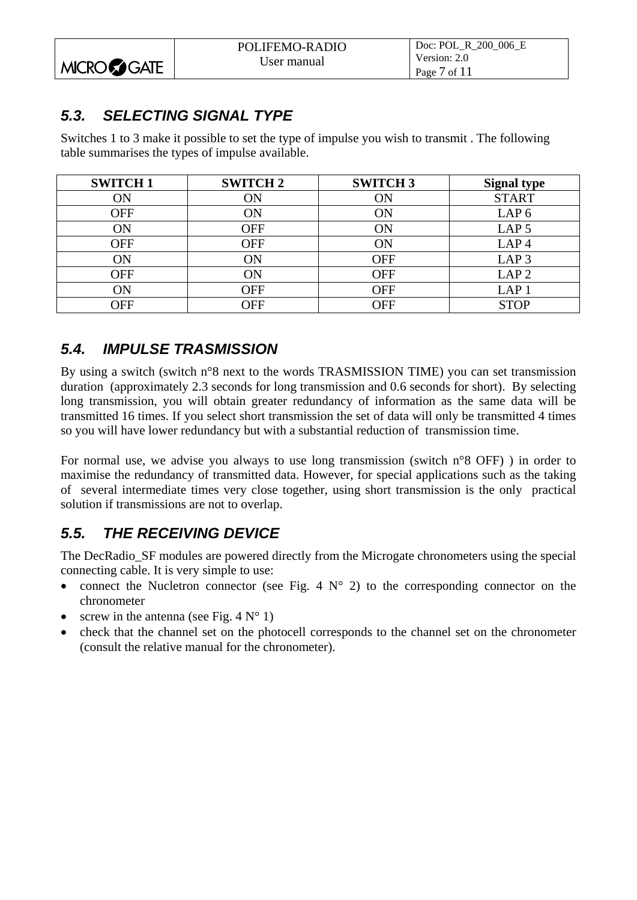<span id="page-6-0"></span>

|                      | POLIFEMO-RADIO | Doc: POL R 200 006 E |
|----------------------|----------------|----------------------|
|                      | User manual    | Version: 2.0         |
| MICRO <b>CO</b> GATE |                | Page $7$ of $11$     |

#### *5.3. SELECTING SIGNAL TYPE*

Switches 1 to 3 make it possible to set the type of impulse you wish to transmit . The following table summarises the types of impulse available.

| <b>SWITCH1</b> | <b>SWITCH 2</b> | <b>SWITCH3</b> | <b>Signal type</b> |
|----------------|-----------------|----------------|--------------------|
| ON             | ON              | ON             | <b>START</b>       |
| <b>OFF</b>     | ON              | ON             | LAP <sub>6</sub>   |
| ON             | <b>OFF</b>      | ON             | LAP <sub>5</sub>   |
| <b>OFF</b>     | <b>OFF</b>      | ON             | LAP <sub>4</sub>   |
| ON             | ON              | <b>OFF</b>     | LAP <sub>3</sub>   |
| <b>OFF</b>     | ON              | <b>OFF</b>     | LAP <sub>2</sub>   |
| ŌN             | <b>OFF</b>      | <b>OFF</b>     | LAP <sub>1</sub>   |
| OFF            | OFF             | OFF            | <b>STOP</b>        |

#### *5.4. IMPULSE TRASMISSION*

By using a switch (switch n°8 next to the words TRASMISSION TIME) you can set transmission duration (approximately 2.3 seconds for long transmission and 0.6 seconds for short). By selecting long transmission, you will obtain greater redundancy of information as the same data will be transmitted 16 times. If you select short transmission the set of data will only be transmitted 4 times so you will have lower redundancy but with a substantial reduction of transmission time.

For normal use, we advise you always to use long transmission (switch n°8 OFF) ) in order to maximise the redundancy of transmitted data. However, for special applications such as the taking of several intermediate times very close together, using short transmission is the only practical solution if transmissions are not to overlap.

#### *5.5. THE RECEIVING DEVICE*

The DecRadio\_SF modules are powered directly from the Microgate chronometers using the special connecting cable. It is very simple to use:

- connect the Nucletron connector (see [Fig. 4](#page-7-0)  $N^{\circ}$  2) to the corresponding connector on the chronometer
- screw in the antenna (see Fig.  $4 N^{\circ}$  1)
- check that the channel set on the photocell corresponds to the channel set on the chronometer (consult the relative manual for the chronometer).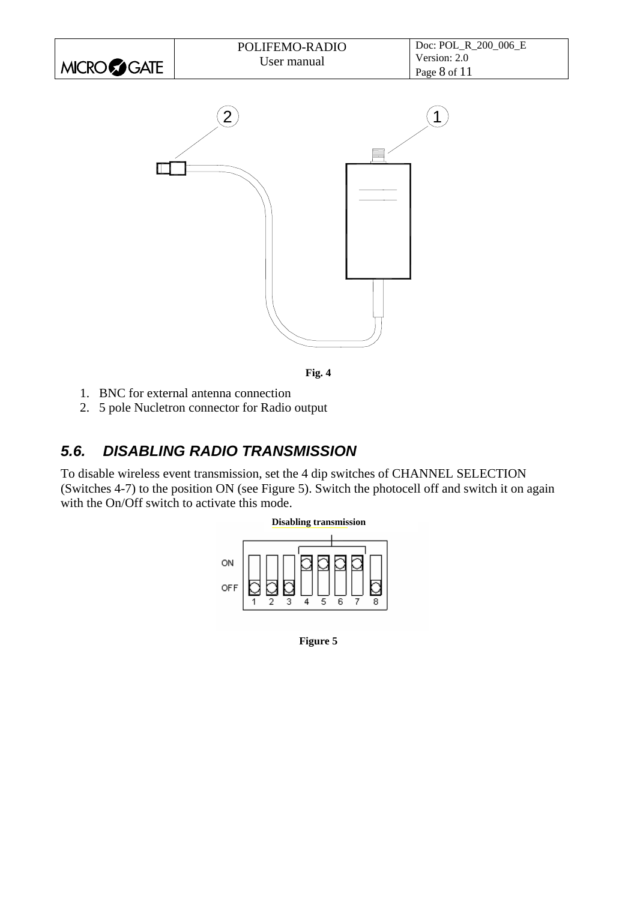| MICRO GATE | POLIFEMO-RADIO<br>User manual | Doc: POL_R_200_006_E<br>Version: 2.0<br>Page 8 of 11 |
|------------|-------------------------------|------------------------------------------------------|
|            | $\overline{2}$                |                                                      |



- <span id="page-7-0"></span>1. BNC for external antenna connection
- 2. 5 pole Nucletron connector for Radio output

#### *5.6. DISABLING RADIO TRANSMISSION*

To disable wireless event transmission, set the 4 dip switches of CHANNEL SELECTION (Switches 4-7) to the position ON (see Figure 5). Switch the photocell off and switch it on again with the On/Off switch to activate this mode.



**Figure 5**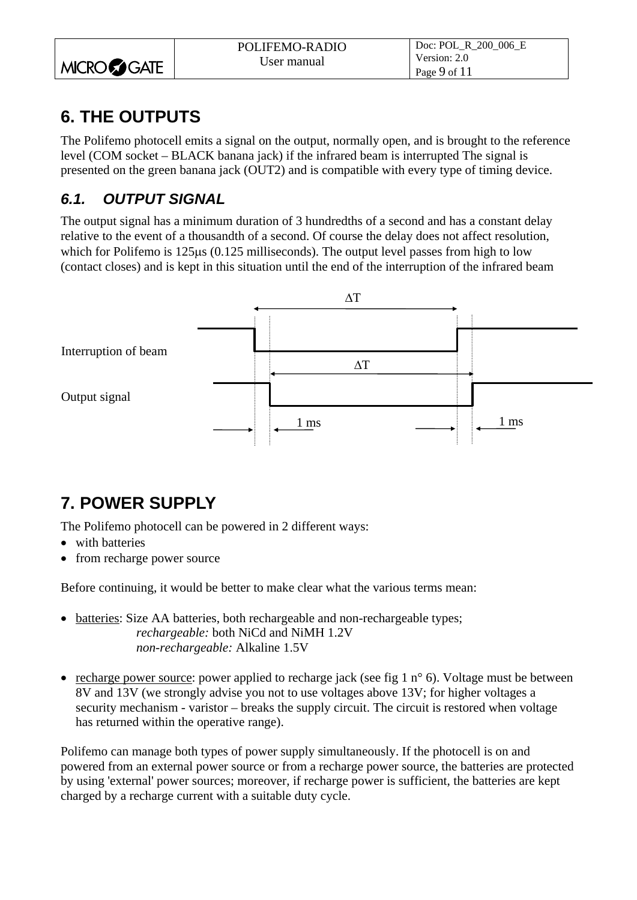<span id="page-8-0"></span>

|                      | POLIFEMO-RADIO | Doc: POL R 200 006 E |
|----------------------|----------------|----------------------|
|                      | User manual    | Version: 2.0         |
| MICRO <b>CO</b> GATE |                | Page 9 of $11$       |

## **6. THE OUTPUTS**

The Polifemo photocell emits a signal on the output, normally open, and is brought to the reference level (COM socket – BLACK banana jack) if the infrared beam is interrupted The signal is presented on the green banana jack (OUT2) and is compatible with every type of timing device.

#### *6.1. OUTPUT SIGNAL*

The output signal has a minimum duration of 3 hundredths of a second and has a constant delay relative to the event of a thousandth of a second. Of course the delay does not affect resolution, which for Polifemo is 125 km (0.125 milliseconds). The output level passes from high to low (contact closes) and is kept in this situation until the end of the interruption of the infrared beam



## **7. POWER SUPPLY**

The Polifemo photocell can be powered in 2 different ways:

- with batteries
- from recharge power source

Before continuing, it would be better to make clear what the various terms mean:

- batteries: Size AA batteries, both rechargeable and non-rechargeable types; *rechargeable:* both NiCd and NiMH 1.2V *non-rechargeable:* Alkaline 1.5V
- recharge power source: power applied to recharge jack (see fig 1  $n^{\circ}$  6). Voltage must be between 8V and 13V (we strongly advise you not to use voltages above 13V; for higher voltages a security mechanism - varistor – breaks the supply circuit. The circuit is restored when voltage has returned within the operative range).

Polifemo can manage both types of power supply simultaneously. If the photocell is on and powered from an external power source or from a recharge power source, the batteries are protected by using 'external' power sources; moreover, if recharge power is sufficient, the batteries are kept charged by a recharge current with a suitable duty cycle.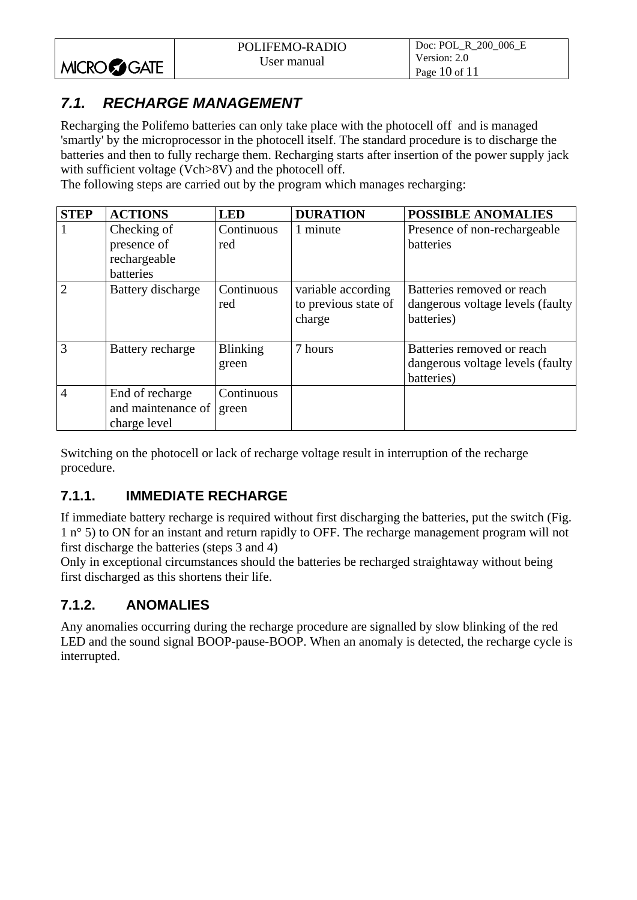#### <span id="page-9-0"></span>*7.1. RECHARGE MANAGEMENT*

Recharging the Polifemo batteries can only take place with the photocell off and is managed 'smartly' by the microprocessor in the photocell itself. The standard procedure is to discharge the batteries and then to fully recharge them. Recharging starts after insertion of the power supply jack with sufficient voltage (Vch>8V) and the photocell off.

The following steps are carried out by the program which manages recharging:

| <b>STEP</b>    | <b>ACTIONS</b>                                        | <b>LED</b>               | <b>DURATION</b>                                      | <b>POSSIBLE ANOMALIES</b>                                                     |
|----------------|-------------------------------------------------------|--------------------------|------------------------------------------------------|-------------------------------------------------------------------------------|
| $\overline{1}$ | Checking of                                           | Continuous               | 1 minute                                             | Presence of non-rechargeable                                                  |
|                | presence of                                           | red                      |                                                      | batteries                                                                     |
|                | rechargeable                                          |                          |                                                      |                                                                               |
|                | batteries                                             |                          |                                                      |                                                                               |
| $\overline{2}$ | Battery discharge                                     | Continuous<br>red        | variable according<br>to previous state of<br>charge | Batteries removed or reach<br>dangerous voltage levels (faulty)<br>batteries) |
| $\overline{3}$ | Battery recharge                                      | <b>Blinking</b><br>green | 7 hours                                              | Batteries removed or reach<br>dangerous voltage levels (faulty)<br>batteries) |
| $\overline{4}$ | End of recharge<br>and maintenance of<br>charge level | Continuous<br>green      |                                                      |                                                                               |

Switching on the photocell or lack of recharge voltage result in interruption of the recharge procedure.

#### **7.1.1. IMMEDIATE RECHARGE**

If immediate battery recharge is required without first discharging the batteries, put the switch ([Fig.](#page-3-1)  [1](#page-3-1) n° 5) to ON for an instant and return rapidly to OFF. The recharge management program will not first discharge the batteries (steps 3 and 4)

Only in exceptional circumstances should the batteries be recharged straightaway without being first discharged as this shortens their life.

#### **7.1.2. ANOMALIES**

Any anomalies occurring during the recharge procedure are signalled by slow blinking of the red LED and the sound signal BOOP-pause-BOOP. When an anomaly is detected, the recharge cycle is interrupted.